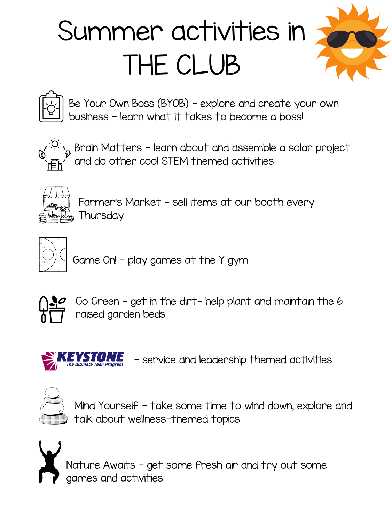Go Green - get in the dirt- help plant and maintain the 6 raised garden beds



Farmer's Market - sell items at our booth every Thursday



Mind Yourself - take some time to wind down, explore and talk about wellness-themed topics

- service and leadership themed activities



Nature Awaits - get some fresh air and try out some games and activities

Game On! - play games at the Y gym



## Summer activities in THE CLUB



Brain Matters - learn about and assemble a solar project and do other cool STEM themed activities



Be Your Own Boss (BYOB) - explore and create your own business - learn what it takes to become a boss!